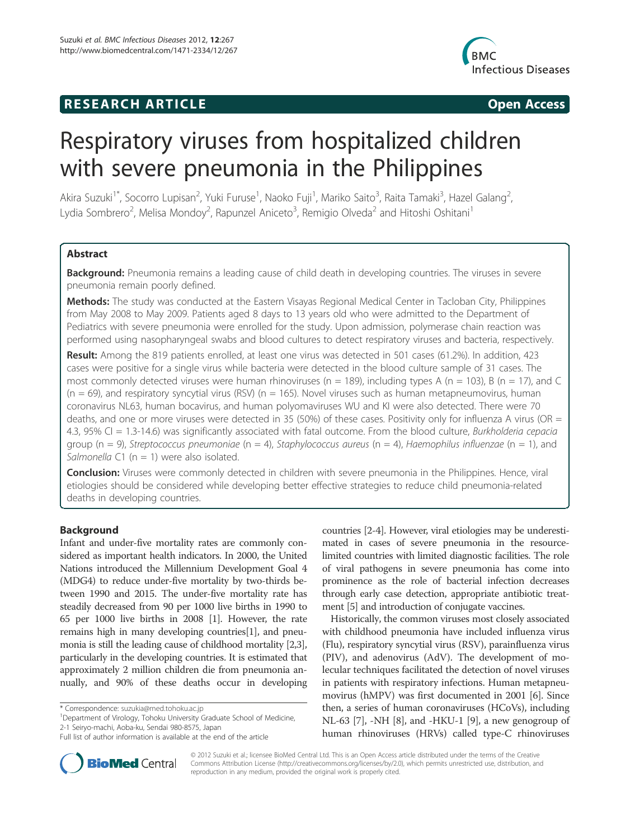## **RESEARCH ARTICLE Example 2014 CONSIDERING CONSIDERING CONSIDERING CONSIDERING CONSIDERING CONSIDERING CONSIDERING CONSIDERING CONSIDERING CONSIDERING CONSIDERING CONSIDERING CONSIDERING CONSIDERING CONSIDERING CONSIDE**



# Respiratory viruses from hospitalized children with severe pneumonia in the Philippines

Akira Suzuki<sup>1\*</sup>, Socorro Lupisan<sup>2</sup>, Yuki Furuse<sup>1</sup>, Naoko Fuji<sup>1</sup>, Mariko Saito<sup>3</sup>, Raita Tamaki<sup>3</sup>, Hazel Galang<sup>2</sup> , Lydia Sombrero<sup>2</sup>, Melisa Mondoy<sup>2</sup>, Rapunzel Aniceto<sup>3</sup>, Remigio Olveda<sup>2</sup> and Hitoshi Oshitani<sup>1</sup>

## Abstract

Background: Pneumonia remains a leading cause of child death in developing countries. The viruses in severe pneumonia remain poorly defined.

Methods: The study was conducted at the Eastern Visayas Regional Medical Center in Tacloban City, Philippines from May 2008 to May 2009. Patients aged 8 days to 13 years old who were admitted to the Department of Pediatrics with severe pneumonia were enrolled for the study. Upon admission, polymerase chain reaction was performed using nasopharyngeal swabs and blood cultures to detect respiratory viruses and bacteria, respectively.

Result: Among the 819 patients enrolled, at least one virus was detected in 501 cases (61.2%). In addition, 423 cases were positive for a single virus while bacteria were detected in the blood culture sample of 31 cases. The most commonly detected viruses were human rhinoviruses ( $n = 189$ ), including types A ( $n = 103$ ), B ( $n = 17$ ), and C  $(n = 69)$ , and respiratory syncytial virus (RSV) (n = 165). Novel viruses such as human metapneumovirus, human coronavirus NL63, human bocavirus, and human polyomaviruses WU and KI were also detected. There were 70 deaths, and one or more viruses were detected in 35 (50%) of these cases. Positivity only for influenza A virus (OR  $=$ 4.3, 95% CI = 1.3-14.6) was significantly associated with fatal outcome. From the blood culture, Burkholderia cepacia group ( $n = 9$ ), Streptococcus pneumoniae ( $n = 4$ ), Staphylococcus aureus ( $n = 4$ ), Haemophilus influenzae ( $n = 1$ ), and Salmonella C1 ( $n = 1$ ) were also isolated.

**Conclusion:** Viruses were commonly detected in children with severe pneumonia in the Philippines. Hence, viral etiologies should be considered while developing better effective strategies to reduce child pneumonia-related deaths in developing countries.

## Background

Infant and under-five mortality rates are commonly considered as important health indicators. In 2000, the United Nations introduced the Millennium Development Goal 4 (MDG4) to reduce under-five mortality by two-thirds between 1990 and 2015. The under-five mortality rate has steadily decreased from 90 per 1000 live births in 1990 to 65 per 1000 live births in 2008 [1]. However, the rate remains high in many developing countries[1], and pneumonia is still the leading cause of childhood mortality [2,3], particularly in the developing countries. It is estimated that approximately 2 million children die from pneumonia annually, and 90% of these deaths occur in developing

<sup>1</sup>Department of Virology, Tohoku University Graduate School of Medicine, 2-1 Seiryo-machi, Aoba-ku, Sendai 980-8575, Japan

countries [2-4]. However, viral etiologies may be underestimated in cases of severe pneumonia in the resourcelimited countries with limited diagnostic facilities. The role of viral pathogens in severe pneumonia has come into prominence as the role of bacterial infection decreases through early case detection, appropriate antibiotic treatment [5] and introduction of conjugate vaccines.

Historically, the common viruses most closely associated with childhood pneumonia have included influenza virus (Flu), respiratory syncytial virus (RSV), parainfluenza virus (PIV), and adenovirus (AdV). The development of molecular techniques facilitated the detection of novel viruses in patients with respiratory infections. Human metapneumovirus (hMPV) was first documented in 2001 [6]. Since then, a series of human coronaviruses (HCoVs), including NL-63 [7], -NH [8], and -HKU-1 [9], a new genogroup of human rhinoviruses (HRVs) called type-C rhinoviruses



© 2012 Suzuki et al.; licensee BioMed Central Ltd. This is an Open Access article distributed under the terms of the Creative Commons Attribution License (http://creativecommons.org/licenses/by/2.0), which permits unrestricted use, distribution, and reproduction in any medium, provided the original work is properly cited.

<sup>\*</sup> Correspondence: suzukia@med.tohoku.ac.jp <sup>1</sup>

Full list of author information is available at the end of the article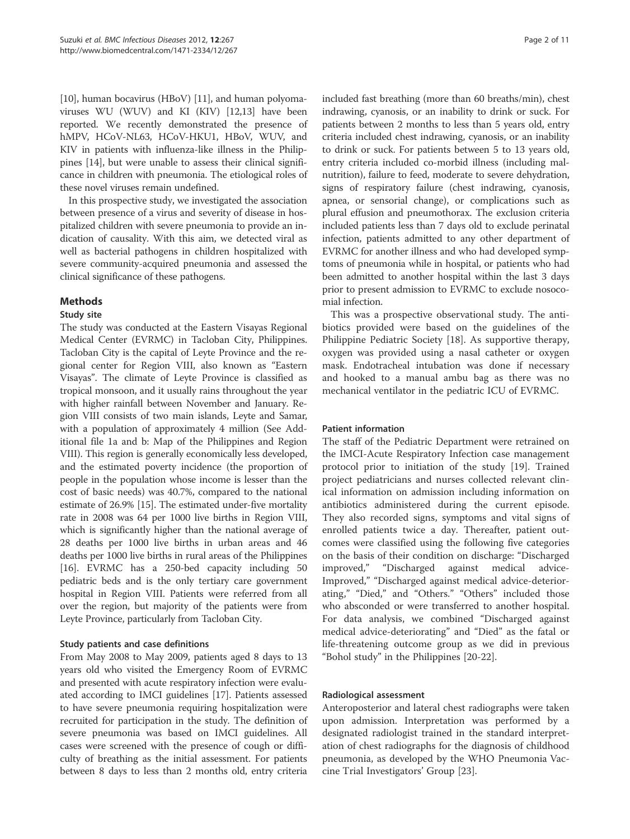[10], human bocavirus (HBoV) [11], and human polyomaviruses WU (WUV) and KI (KIV) [12,13] have been reported. We recently demonstrated the presence of hMPV, HCoV-NL63, HCoV-HKU1, HBoV, WUV, and KIV in patients with influenza-like illness in the Philippines [14], but were unable to assess their clinical significance in children with pneumonia. The etiological roles of these novel viruses remain undefined.

In this prospective study, we investigated the association between presence of a virus and severity of disease in hospitalized children with severe pneumonia to provide an indication of causality. With this aim, we detected viral as well as bacterial pathogens in children hospitalized with severe community-acquired pneumonia and assessed the clinical significance of these pathogens.

## Methods

## Study site

The study was conducted at the Eastern Visayas Regional Medical Center (EVRMC) in Tacloban City, Philippines. Tacloban City is the capital of Leyte Province and the regional center for Region VIII, also known as "Eastern Visayas". The climate of Leyte Province is classified as tropical monsoon, and it usually rains throughout the year with higher rainfall between November and January. Region VIII consists of two main islands, Leyte and Samar, with a population of approximately 4 million (See Additional file 1a and b: Map of the Philippines and Region VIII). This region is generally economically less developed, and the estimated poverty incidence (the proportion of people in the population whose income is lesser than the cost of basic needs) was 40.7%, compared to the national estimate of 26.9% [15]. The estimated under-five mortality rate in 2008 was 64 per 1000 live births in Region VIII, which is significantly higher than the national average of 28 deaths per 1000 live births in urban areas and 46 deaths per 1000 live births in rural areas of the Philippines [16]. EVRMC has a 250-bed capacity including 50 pediatric beds and is the only tertiary care government hospital in Region VIII. Patients were referred from all over the region, but majority of the patients were from Leyte Province, particularly from Tacloban City.

## Study patients and case definitions

From May 2008 to May 2009, patients aged 8 days to 13 years old who visited the Emergency Room of EVRMC and presented with acute respiratory infection were evaluated according to IMCI guidelines [17]. Patients assessed to have severe pneumonia requiring hospitalization were recruited for participation in the study. The definition of severe pneumonia was based on IMCI guidelines. All cases were screened with the presence of cough or difficulty of breathing as the initial assessment. For patients between 8 days to less than 2 months old, entry criteria included fast breathing (more than 60 breaths/min), chest indrawing, cyanosis, or an inability to drink or suck. For patients between 2 months to less than 5 years old, entry criteria included chest indrawing, cyanosis, or an inability to drink or suck. For patients between 5 to 13 years old, entry criteria included co-morbid illness (including malnutrition), failure to feed, moderate to severe dehydration, signs of respiratory failure (chest indrawing, cyanosis, apnea, or sensorial change), or complications such as plural effusion and pneumothorax. The exclusion criteria included patients less than 7 days old to exclude perinatal infection, patients admitted to any other department of EVRMC for another illness and who had developed symptoms of pneumonia while in hospital, or patients who had been admitted to another hospital within the last 3 days prior to present admission to EVRMC to exclude nosocomial infection.

This was a prospective observational study. The antibiotics provided were based on the guidelines of the Philippine Pediatric Society [18]. As supportive therapy, oxygen was provided using a nasal catheter or oxygen mask. Endotracheal intubation was done if necessary and hooked to a manual ambu bag as there was no mechanical ventilator in the pediatric ICU of EVRMC.

## Patient information

The staff of the Pediatric Department were retrained on the IMCI-Acute Respiratory Infection case management protocol prior to initiation of the study [19]. Trained project pediatricians and nurses collected relevant clinical information on admission including information on antibiotics administered during the current episode. They also recorded signs, symptoms and vital signs of enrolled patients twice a day. Thereafter, patient outcomes were classified using the following five categories on the basis of their condition on discharge: "Discharged improved," "Discharged against medical advice-Improved," "Discharged against medical advice-deteriorating," "Died," and "Others." "Others" included those who absconded or were transferred to another hospital. For data analysis, we combined "Discharged against medical advice-deteriorating" and "Died" as the fatal or life-threatening outcome group as we did in previous "Bohol study" in the Philippines [20-22].

## Radiological assessment

Anteroposterior and lateral chest radiographs were taken upon admission. Interpretation was performed by a designated radiologist trained in the standard interpretation of chest radiographs for the diagnosis of childhood pneumonia, as developed by the WHO Pneumonia Vaccine Trial Investigators' Group [23].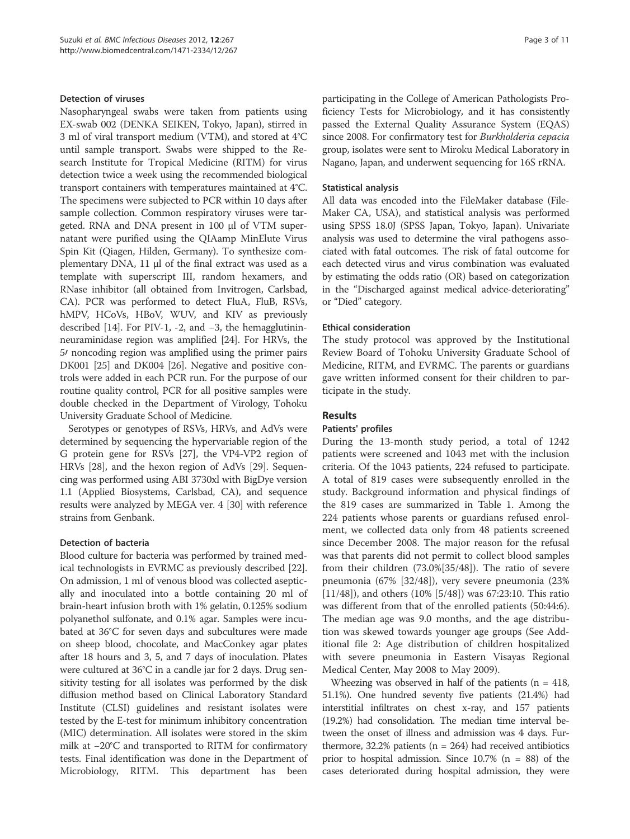#### Detection of viruses

Nasopharyngeal swabs were taken from patients using EX-swab 002 (DENKA SEIKEN, Tokyo, Japan), stirred in 3 ml of viral transport medium (VTM), and stored at 4°C until sample transport. Swabs were shipped to the Research Institute for Tropical Medicine (RITM) for virus detection twice a week using the recommended biological transport containers with temperatures maintained at 4°C. The specimens were subjected to PCR within 10 days after sample collection. Common respiratory viruses were targeted. RNA and DNA present in 100 μl of VTM supernatant were purified using the QIAamp MinElute Virus Spin Kit (Qiagen, Hilden, Germany). To synthesize complementary DNA, 11 μl of the final extract was used as a template with superscript III, random hexamers, and RNase inhibitor (all obtained from Invitrogen, Carlsbad, CA). PCR was performed to detect FluA, FluB, RSVs, hMPV, HCoVs, HBoV, WUV, and KIV as previously described [14]. For PIV-1, -2, and −3, the hemagglutininneuraminidase region was amplified [24]. For HRVs, the 5/ noncoding region was amplified using the primer pairs DK001 [25] and DK004 [26]. Negative and positive controls were added in each PCR run. For the purpose of our routine quality control, PCR for all positive samples were double checked in the Department of Virology, Tohoku University Graduate School of Medicine.

Serotypes or genotypes of RSVs, HRVs, and AdVs were determined by sequencing the hypervariable region of the G protein gene for RSVs [27], the VP4-VP2 region of HRVs [28], and the hexon region of AdVs [29]. Sequencing was performed using ABI 3730xl with BigDye version 1.1 (Applied Biosystems, Carlsbad, CA), and sequence results were analyzed by MEGA ver. 4 [30] with reference strains from Genbank.

## Detection of bacteria

Blood culture for bacteria was performed by trained medical technologists in EVRMC as previously described [22]. On admission, 1 ml of venous blood was collected aseptically and inoculated into a bottle containing 20 ml of brain-heart infusion broth with 1% gelatin, 0.125% sodium polyanethol sulfonate, and 0.1% agar. Samples were incubated at 36°C for seven days and subcultures were made on sheep blood, chocolate, and MacConkey agar plates after 18 hours and 3, 5, and 7 days of inoculation. Plates were cultured at 36°C in a candle jar for 2 days. Drug sensitivity testing for all isolates was performed by the disk diffusion method based on Clinical Laboratory Standard Institute (CLSI) guidelines and resistant isolates were tested by the E-test for minimum inhibitory concentration (MIC) determination. All isolates were stored in the skim milk at −20°C and transported to RITM for confirmatory tests. Final identification was done in the Department of Microbiology, RITM. This department has been

participating in the College of American Pathologists Proficiency Tests for Microbiology, and it has consistently passed the External Quality Assurance System (EQAS) since 2008. For confirmatory test for Burkholderia cepacia group, isolates were sent to Miroku Medical Laboratory in Nagano, Japan, and underwent sequencing for 16S rRNA.

#### Statistical analysis

All data was encoded into the FileMaker database (File-Maker CA, USA), and statistical analysis was performed using SPSS 18.0J (SPSS Japan, Tokyo, Japan). Univariate analysis was used to determine the viral pathogens associated with fatal outcomes. The risk of fatal outcome for each detected virus and virus combination was evaluated by estimating the odds ratio (OR) based on categorization in the "Discharged against medical advice-deteriorating" or "Died" category.

#### Ethical consideration

The study protocol was approved by the Institutional Review Board of Tohoku University Graduate School of Medicine, RITM, and EVRMC. The parents or guardians gave written informed consent for their children to participate in the study.

## Results

#### Patients' profiles

During the 13-month study period, a total of 1242 patients were screened and 1043 met with the inclusion criteria. Of the 1043 patients, 224 refused to participate. A total of 819 cases were subsequently enrolled in the study. Background information and physical findings of the 819 cases are summarized in Table 1. Among the 224 patients whose parents or guardians refused enrolment, we collected data only from 48 patients screened since December 2008. The major reason for the refusal was that parents did not permit to collect blood samples from their children (73.0%[35/48]). The ratio of severe pneumonia (67% [32/48]), very severe pneumonia (23% [11/48]), and others (10% [5/48]) was 67:23:10. This ratio was different from that of the enrolled patients (50:44:6). The median age was 9.0 months, and the age distribution was skewed towards younger age groups (See Additional file 2: Age distribution of children hospitalized with severe pneumonia in Eastern Visayas Regional Medical Center, May 2008 to May 2009).

Wheezing was observed in half of the patients ( $n = 418$ , 51.1%). One hundred seventy five patients (21.4%) had interstitial infiltrates on chest x-ray, and 157 patients (19.2%) had consolidation. The median time interval between the onset of illness and admission was 4 days. Furthermore,  $32.2\%$  patients (n = 264) had received antibiotics prior to hospital admission. Since  $10.7\%$  (n = 88) of the cases deteriorated during hospital admission, they were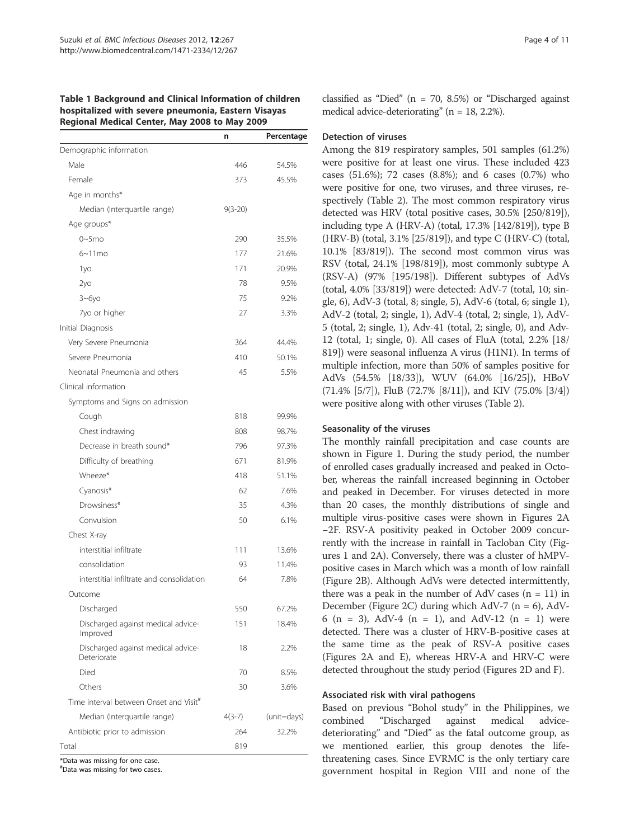#### Table 1 Background and Clinical Information of children hospitalized with severe pneumonia, Eastern Visayas Regional Medical Center, May 2008 to May 2009

|                                                    | n           | Percentage  |
|----------------------------------------------------|-------------|-------------|
| Demographic information                            |             |             |
| Male                                               | 446         | 54.5%       |
| Female                                             | 373         | 45.5%       |
| Age in months*                                     |             |             |
| Median (Interquartile range)                       | $9(3 - 20)$ |             |
| Age groups*                                        |             |             |
| $0\nu$ -5mo                                        | 290         | 35.5%       |
| $6 \sim 11$ mo                                     | 177         | 21.6%       |
| 1yo                                                | 171         | 20.9%       |
| 2y <sub>O</sub>                                    | 78          | 9.5%        |
| $3 - 6y0$                                          | 75          | 9.2%        |
| 7yo or higher                                      | 27          | 3.3%        |
| Initial Diagnosis                                  |             |             |
| Very Severe Pneumonia                              | 364         | 44.4%       |
| Severe Pneumonia                                   | 410         | 50.1%       |
| Neonatal Pneumonia and others                      | 45          | 5.5%        |
| Clinical information                               |             |             |
| Symptoms and Signs on admission                    |             |             |
| Cough                                              | 818         | 99.9%       |
| Chest indrawing                                    | 808         | 98.7%       |
| Decrease in breath sound*                          | 796         | 97.3%       |
| Difficulty of breathing                            | 671         | 81.9%       |
| Wheeze*                                            | 418         | 51.1%       |
| Cyanosis*                                          | 62          | 7.6%        |
| Drowsiness*                                        | 35          | 4.3%        |
| Convulsion                                         | 50          | 6.1%        |
| Chest X-ray                                        |             |             |
| interstitial infiltrate                            | 111         | 13.6%       |
| consolidation                                      | 93          | 11.4%       |
| interstitial infiltrate and consolidation          | 64          | 7.8%        |
| Outcome                                            |             |             |
| Discharged                                         | 550         | 67.2%       |
| Discharged against medical advice-<br>Improved     | 151         | 18.4%       |
| Discharged against medical advice-<br>Deteriorate  | 18          | 2.2%        |
| Died                                               | 70          | 8.5%        |
| Others                                             | 30          | 3.6%        |
| Time interval between Onset and Visit <sup>#</sup> |             |             |
| Median (Interquartile range)                       | $4(3-7)$    | (unit=days) |
| Antibiotic prior to admission                      | 264         | 32.2%       |
| Total                                              | 819         |             |
| *Data was missing for one case.                    |             |             |

# Data was missing for two cases.

classified as "Died" ( $n = 70$ , 8.5%) or "Discharged against medical advice-deteriorating" (n = 18, 2.2%).

#### Detection of viruses

Among the 819 respiratory samples, 501 samples (61.2%) were positive for at least one virus. These included 423 cases (51.6%); 72 cases (8.8%); and 6 cases (0.7%) who were positive for one, two viruses, and three viruses, respectively (Table 2). The most common respiratory virus detected was HRV (total positive cases, 30.5% [250/819]), including type A (HRV-A) (total, 17.3% [142/819]), type B (HRV-B) (total, 3.1% [25/819]), and type C (HRV-C) (total, 10.1% [83/819]). The second most common virus was RSV (total, 24.1% [198/819]), most commonly subtype A (RSV-A) (97% [195/198]). Different subtypes of AdVs (total, 4.0% [33/819]) were detected: AdV-7 (total, 10; single, 6), AdV-3 (total, 8; single, 5), AdV-6 (total, 6; single 1), AdV-2 (total, 2; single, 1), AdV-4 (total, 2; single, 1), AdV-5 (total, 2; single, 1), Adv-41 (total, 2; single, 0), and Adv-12 (total, 1; single, 0). All cases of FluA (total, 2.2% [18/ 819]) were seasonal influenza A virus (H1N1). In terms of multiple infection, more than 50% of samples positive for AdVs (54.5% [18/33]), WUV (64.0% [16/25]), HBoV (71.4% [5/7]), FluB (72.7% [8/11]), and KIV (75.0% [3/4]) were positive along with other viruses (Table 2).

## Seasonality of the viruses

The monthly rainfall precipitation and case counts are shown in Figure 1. During the study period, the number of enrolled cases gradually increased and peaked in October, whereas the rainfall increased beginning in October and peaked in December. For viruses detected in more than 20 cases, the monthly distributions of single and multiple virus-positive cases were shown in Figures 2A −2F. RSV-A positivity peaked in October 2009 concurrently with the increase in rainfall in Tacloban City (Figures 1 and 2A). Conversely, there was a cluster of hMPVpositive cases in March which was a month of low rainfall (Figure 2B). Although AdVs were detected intermittently, there was a peak in the number of AdV cases  $(n = 11)$  in December (Figure 2C) during which AdV-7 ( $n = 6$ ), AdV-6 (n = 3), AdV-4 (n = 1), and AdV-12 (n = 1) were detected. There was a cluster of HRV-B-positive cases at the same time as the peak of RSV-A positive cases (Figures 2A and E), whereas HRV-A and HRV-C were detected throughout the study period (Figures 2D and F).

## Associated risk with viral pathogens

Based on previous "Bohol study" in the Philippines, we combined "Discharged against medical advicedeteriorating" and "Died" as the fatal outcome group, as we mentioned earlier, this group denotes the lifethreatening cases. Since EVRMC is the only tertiary care government hospital in Region VIII and none of the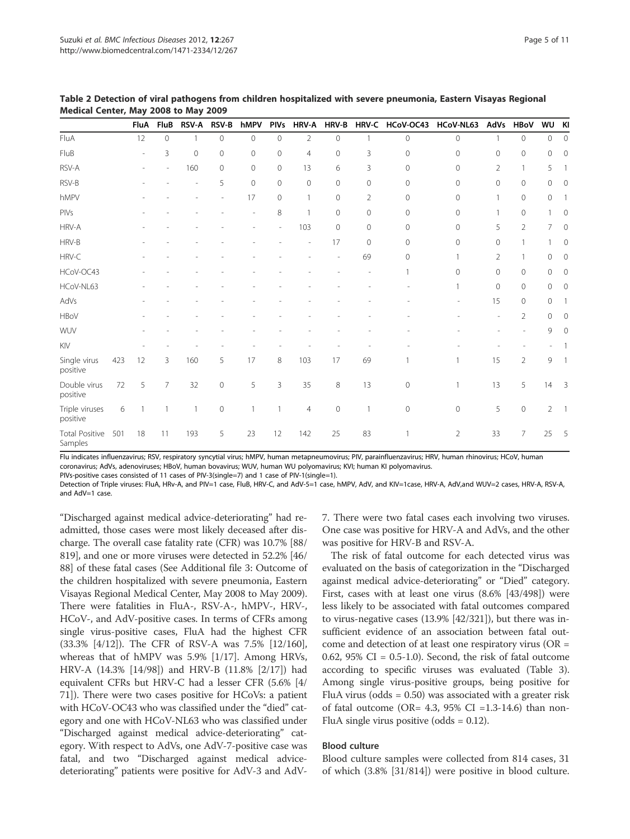|                                  |     | <b>FluA</b>  | FluB           | <b>RSV-A</b> | <b>RSV-B</b> | hMPV                     | <b>PIVs</b>    | <b>HRV-A</b>   | HRV-B        |                | HRV-C HCoV-OC43 | HCoV-NL63      | AdVs           | <b>HBoV</b>    | WU KI          |                          |
|----------------------------------|-----|--------------|----------------|--------------|--------------|--------------------------|----------------|----------------|--------------|----------------|-----------------|----------------|----------------|----------------|----------------|--------------------------|
| FluA                             |     | 12           | $\circ$        | $\mathbf{1}$ | $\circ$      | 0                        | $\circ$        | $\overline{2}$ | $\mathbf{O}$ | $\mathbf{1}$   | $\overline{0}$  | $\mathbf 0$    | $\mathbf{1}$   | $\circ$        | $\circ$        | $\mathbf{0}$             |
| FluB                             |     | ÷,           | 3              | $\mathbf 0$  | $\mathbf 0$  | 0                        | $\overline{0}$ | $\overline{4}$ | $\mathbf{0}$ | 3              | $\circ$         | $\mathbf 0$    | 0              | 0              | $\mathbf 0$    | $\mathbf{0}$             |
| RSV-A                            |     |              |                | 160          | $\mathbf{0}$ | 0                        | $\circ$        | 13             | 6            | 3              | $\circ$         | $\mathbf{0}$   | $\overline{2}$ |                | 5              | 1                        |
| RSV-B                            |     |              |                |              | 5            | $\mathbf 0$              | $\mathbf{0}$   | $\overline{0}$ | $\mathbf{0}$ | $\mathbf{0}$   | $\circ$         | $\overline{0}$ | $\mathbf{0}$   | $\mathbf{0}$   | 0              | $\Omega$                 |
| hMPV                             |     |              |                |              |              | 17                       | $\circ$        | $\mathbf{1}$   | $\mathbf{0}$ | $\overline{2}$ | $\Omega$        | $\mathbf{0}$   | 1              | 0              | $\mathbf 0$    | 1                        |
| PIVs                             |     |              |                |              |              | $\overline{\phantom{a}}$ | 8              | 1              | $\mathbf{0}$ | $\mathbf{0}$   | $\circ$         | $\mathbf{0}$   | $\mathbf{1}$   | 0              |                | 0                        |
| HRV-A                            |     |              |                |              |              |                          |                | 103            | $\mathbf{0}$ | $\mathbf{0}$   | $\circ$         | $\mathbf{0}$   | 5              | $\overline{2}$ | 7              | $\mathbf 0$              |
| HRV-B                            |     |              |                |              |              |                          |                |                | 17           | $\mathbf{0}$   | $\circ$         | 0              | 0              |                |                | 0                        |
| HRV-C                            |     |              |                |              |              |                          |                |                |              | 69             | $\circ$         | 1              | $\overline{2}$ |                | $\mathbf{0}$   | $\mathbf 0$              |
| HCoV-OC43                        |     |              |                |              |              |                          |                |                |              |                |                 | $\Omega$       | $\mathbf 0$    | $\circ$        | $\mathbf 0$    | $\Omega$                 |
| HCoV-NL63                        |     |              |                |              |              |                          |                |                |              |                |                 |                | $\mathbf 0$    | $\mathbf{0}$   | $\mathbf 0$    | $\mathbf{0}$             |
| AdVs                             |     |              |                |              |              |                          |                |                |              |                |                 |                | 15             | 0              | $\mathbf{0}$   | 1                        |
| <b>HBoV</b>                      |     |              |                |              |              |                          |                |                |              |                |                 |                |                | $\overline{2}$ | $\mathbf{0}$   | $\Omega$                 |
| WUV                              |     |              |                |              |              |                          |                |                |              |                |                 |                |                |                | 9              | $\Omega$                 |
| KIV                              |     |              |                |              |              |                          |                |                |              |                |                 |                |                |                |                |                          |
| Single virus<br>positive         | 423 | 12           | 3              | 160          | 5            | 17                       | 8              | 103            | 17           | 69             |                 |                | 15             | $\overline{2}$ | 9              | -1                       |
| Double virus<br>positive         | 72  | 5            | $\overline{7}$ | 32           | $\circ$      | 5                        | 3              | 35             | 8            | 13             | $\circ$         | 1              | 13             | 5              | 14             | $\overline{\phantom{a}}$ |
| Triple viruses<br>positive       | 6   | $\mathbf{1}$ |                | 1            | $\circ$      | 1                        | $\mathbf{1}$   | $\overline{4}$ | $\mathbf{0}$ | $\mathbf{1}$   | $\mathbf{0}$    | $\mathbf 0$    | 5              | $\mathbf{0}$   | $\overline{2}$ | $\overline{1}$           |
| <b>Total Positive</b><br>Samples | 501 | 18           | 11             | 193          | 5            | 23                       | 12             | 142            | 25           | 83             |                 | $\overline{2}$ | 33             | 7              | 25             | 5                        |

Table 2 Detection of viral pathogens from children hospitalized with severe pneumonia, Eastern Visayas Regional Medical Center, May 2008 to May 2009

Flu indicates influenzavirus; RSV, respiratory syncytial virus; hMPV, human metapneumovirus; PIV, parainfluenzavirus; HRV, human rhinovirus; HCoV, human

coronavirus; AdVs, adenoviruses; HBoV, human bovavirus; WUV, human WU polyomavirus; KVI; human KI polyomavirus.

PIVs-positive cases consisted of 11 cases of PIV-3(single=7) and 1 case of PIV-1(single=1).

Detection of Triple viruses: FluA, HRv-A, and PIV=1 case, FluB, HRV-C, and AdV-5=1 case, hMPV, AdV, and KIV=1case, HRV-A, AdV,and WUV=2 cases, HRV-A, RSV-A, and AdV=1 case.

"Discharged against medical advice-deteriorating" had readmitted, those cases were most likely deceased after discharge. The overall case fatality rate (CFR) was 10.7% [88/ 819], and one or more viruses were detected in 52.2% [46/ 88] of these fatal cases (See Additional file 3: Outcome of the children hospitalized with severe pneumonia, Eastern Visayas Regional Medical Center, May 2008 to May 2009). There were fatalities in FluA-, RSV-A-, hMPV-, HRV-, HCoV-, and AdV-positive cases. In terms of CFRs among single virus-positive cases, FluA had the highest CFR (33.3% [4/12]). The CFR of RSV-A was 7.5% [12/160], whereas that of hMPV was 5.9% [1/17]. Among HRVs, HRV-A (14.3% [14/98]) and HRV-B (11.8% [2/17]) had equivalent CFRs but HRV-C had a lesser CFR (5.6% [4/ 71]). There were two cases positive for HCoVs: a patient with HCoV-OC43 who was classified under the "died" category and one with HCoV-NL63 who was classified under "Discharged against medical advice-deteriorating" category. With respect to AdVs, one AdV-7-positive case was fatal, and two "Discharged against medical advicedeteriorating" patients were positive for AdV-3 and AdV- 7. There were two fatal cases each involving two viruses. One case was positive for HRV-A and AdVs, and the other was positive for HRV-B and RSV-A.

The risk of fatal outcome for each detected virus was evaluated on the basis of categorization in the "Discharged against medical advice-deteriorating" or "Died" category. First, cases with at least one virus (8.6% [43/498]) were less likely to be associated with fatal outcomes compared to virus-negative cases (13.9% [42/321]), but there was insufficient evidence of an association between fatal outcome and detection of at least one respiratory virus (OR = 0.62,  $95\%$  CI = 0.5-1.0). Second, the risk of fatal outcome according to specific viruses was evaluated (Table 3). Among single virus-positive groups, being positive for FluA virus (odds  $= 0.50$ ) was associated with a greater risk of fatal outcome (OR= 4.3, 95% CI =1.3-14.6) than non-FluA single virus positive (odds  $= 0.12$ ).

## Blood culture

Blood culture samples were collected from 814 cases, 31 of which (3.8% [31/814]) were positive in blood culture.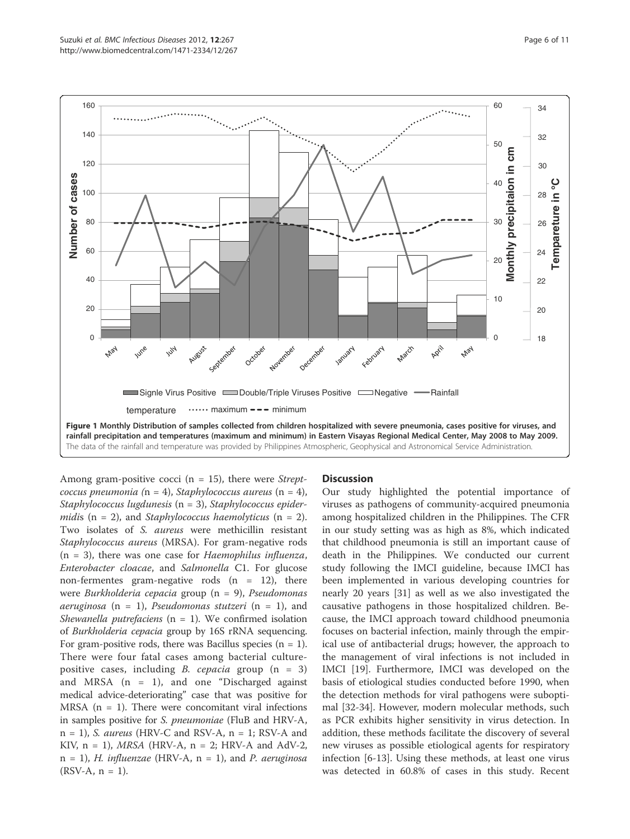

Among gram-positive cocci ( $n = 15$ ), there were *Strept*coccus pneumonia ( $n = 4$ ), Staphylococcus aureus ( $n = 4$ ), Staphylococcus lugdunesis (n = 3), Staphylococcus epidermidis ( $n = 2$ ), and *Staphylococcus haemolyticus* ( $n = 2$ ). Two isolates of S. aureus were methicillin resistant Staphylococcus aureus (MRSA). For gram-negative rods  $(n = 3)$ , there was one case for *Haemophilus influenza*, Enterobacter cloacae, and Salmonella C1. For glucose non-fermentes gram-negative rods  $(n = 12)$ , there were Burkholderia cepacia group (n = 9), Pseudomonas aeruginosa (n = 1), Pseudomonas stutzeri (n = 1), and Shewanella putrefaciens ( $n = 1$ ). We confirmed isolation of Burkholderia cepacia group by 16S rRNA sequencing. For gram-positive rods, there was Bacillus species  $(n = 1)$ . There were four fatal cases among bacterial culturepositive cases, including *B. cepacia* group  $(n = 3)$ and MRSA  $(n = 1)$ , and one "Discharged against medical advice-deteriorating" case that was positive for MRSA  $(n = 1)$ . There were concomitant viral infections in samples positive for S. pneumoniae (FluB and HRV-A,  $n = 1$ ), S. aureus (HRV-C and RSV-A,  $n = 1$ ; RSV-A and KIV,  $n = 1$ ), *MRSA* (HRV-A,  $n = 2$ ; HRV-A and AdV-2,  $n = 1$ , H. influenzae (HRV-A,  $n = 1$ ), and P. aeruginosa  $(RSV-A, n = 1)$ .

## **Discussion**

Our study highlighted the potential importance of viruses as pathogens of community-acquired pneumonia among hospitalized children in the Philippines. The CFR in our study setting was as high as 8%, which indicated that childhood pneumonia is still an important cause of death in the Philippines. We conducted our current study following the IMCI guideline, because IMCI has been implemented in various developing countries for nearly 20 years [31] as well as we also investigated the causative pathogens in those hospitalized children. Because, the IMCI approach toward childhood pneumonia focuses on bacterial infection, mainly through the empirical use of antibacterial drugs; however, the approach to the management of viral infections is not included in IMCI [19]. Furthermore, IMCI was developed on the basis of etiological studies conducted before 1990, when the detection methods for viral pathogens were suboptimal [32-34]. However, modern molecular methods, such as PCR exhibits higher sensitivity in virus detection. In addition, these methods facilitate the discovery of several new viruses as possible etiological agents for respiratory infection [6-13]. Using these methods, at least one virus was detected in 60.8% of cases in this study. Recent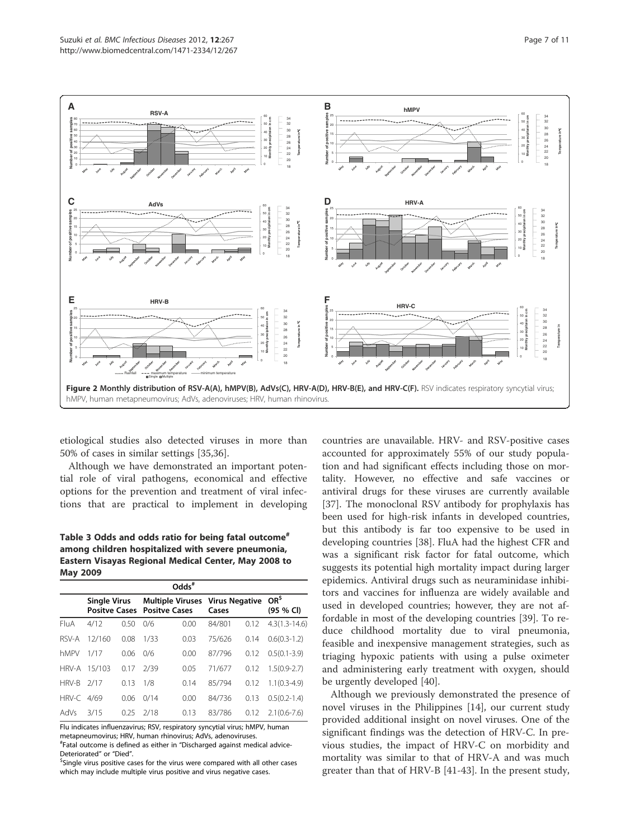

etiological studies also detected viruses in more than 50% of cases in similar settings [35,36].

Although we have demonstrated an important potential role of viral pathogens, economical and effective options for the prevention and treatment of viral infections that are practical to implement in developing

Table 3 Odds and odds ratio for being fatal outcome<sup>#</sup> among children hospitalized with severe pneumonia, Eastern Visayas Regional Medical Center, May 2008 to May 2009

| $Odds^*$ |                                             |      |                      |                         |                                |      |                              |  |  |  |
|----------|---------------------------------------------|------|----------------------|-------------------------|--------------------------------|------|------------------------------|--|--|--|
|          | <b>Single Virus</b><br><b>Positve Cases</b> |      | <b>Positve Cases</b> | <b>Multiple Viruses</b> | <b>Virus Negative</b><br>Cases |      | OR <sup>5</sup><br>(95 % Cl) |  |  |  |
| FluA     | 4/12                                        | 0.50 | 0/6                  | 0.00                    | 84/801                         | 0.12 | $4.3(1.3 - 14.6)$            |  |  |  |
| RSV-A    | 12/160                                      | 0.08 | 1/33                 | 0.03                    | 75/626                         | 0.14 | $0.6(0.3-1.2)$               |  |  |  |
| hMPV     | 1/17                                        | 0.06 | 0/6                  | 0.00                    | 87/796                         | 0.12 | $0.5(0.1 - 3.9)$             |  |  |  |
| HRV-A    | 15/103                                      | 0.17 | 7/39                 | 0.05                    | 71/677                         | 0.12 | $1.5(0.9-2.7)$               |  |  |  |
| HRV-B    | 2/17                                        | 0.13 | 1/8                  | 014                     | 85/794                         | 0.12 | $1.1(0.3-4.9)$               |  |  |  |
| HRV-C    | 4/69                                        | 0.06 | 0/14                 | 0.00                    | 84/736                         | 0.13 | $0.5(0.2 - 1.4)$             |  |  |  |
| AdVs     | 3/15                                        | 025  | 2/18                 | 0.13                    | 83/786                         | 0.12 | $2.1(0.6 - 7.6)$             |  |  |  |

Flu indicates influenzavirus; RSV, respiratory syncytial virus; hMPV, human metapneumovirus; HRV, human rhinovirus; AdVs, adenoviruses.

# Fatal outcome is defined as either in "Discharged against medical advice-Deteriorated" or "Died".

<sup>\$</sup>Single virus positive cases for the virus were compared with all other cases which may include multiple virus positive and virus negative cases.

countries are unavailable. HRV- and RSV-positive cases accounted for approximately 55% of our study population and had significant effects including those on mortality. However, no effective and safe vaccines or antiviral drugs for these viruses are currently available [37]. The monoclonal RSV antibody for prophylaxis has been used for high-risk infants in developed countries, but this antibody is far too expensive to be used in developing countries [38]. FluA had the highest CFR and was a significant risk factor for fatal outcome, which suggests its potential high mortality impact during larger epidemics. Antiviral drugs such as neuraminidase inhibitors and vaccines for influenza are widely available and used in developed countries; however, they are not affordable in most of the developing countries [39]. To reduce childhood mortality due to viral pneumonia, feasible and inexpensive management strategies, such as triaging hypoxic patients with using a pulse oximeter and administering early treatment with oxygen, should be urgently developed [40].

Although we previously demonstrated the presence of novel viruses in the Philippines [14], our current study provided additional insight on novel viruses. One of the significant findings was the detection of HRV-C. In previous studies, the impact of HRV-C on morbidity and mortality was similar to that of HRV-A and was much greater than that of HRV-B [41-43]. In the present study,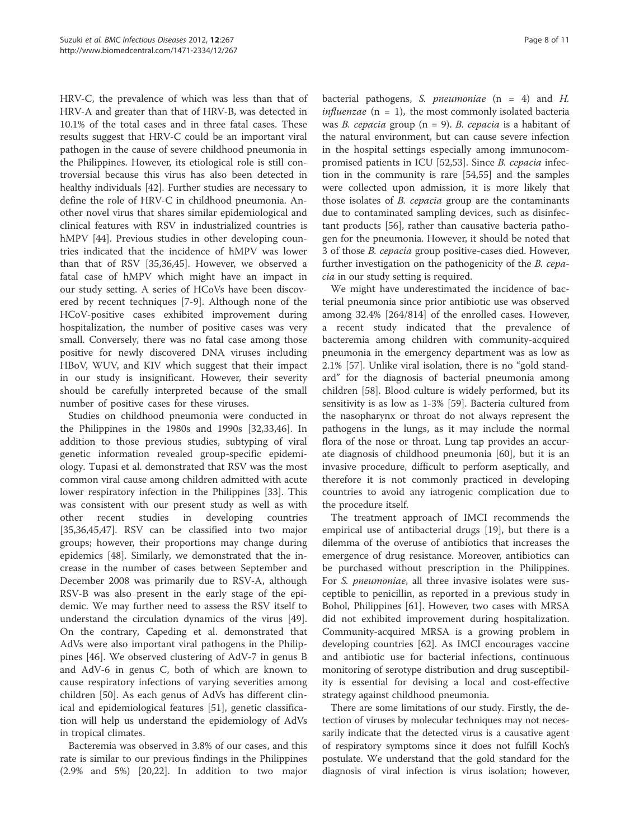HRV-C, the prevalence of which was less than that of HRV-A and greater than that of HRV-B, was detected in 10.1% of the total cases and in three fatal cases. These results suggest that HRV-C could be an important viral pathogen in the cause of severe childhood pneumonia in the Philippines. However, its etiological role is still controversial because this virus has also been detected in healthy individuals [42]. Further studies are necessary to define the role of HRV-C in childhood pneumonia. Another novel virus that shares similar epidemiological and clinical features with RSV in industrialized countries is hMPV [44]. Previous studies in other developing countries indicated that the incidence of hMPV was lower than that of RSV [35,36,45]. However, we observed a fatal case of hMPV which might have an impact in our study setting. A series of HCoVs have been discovered by recent techniques [7-9]. Although none of the HCoV-positive cases exhibited improvement during hospitalization, the number of positive cases was very small. Conversely, there was no fatal case among those positive for newly discovered DNA viruses including HBoV, WUV, and KIV which suggest that their impact in our study is insignificant. However, their severity should be carefully interpreted because of the small number of positive cases for these viruses.

Studies on childhood pneumonia were conducted in the Philippines in the 1980s and 1990s [32,33,46]. In addition to those previous studies, subtyping of viral genetic information revealed group-specific epidemiology. Tupasi et al. demonstrated that RSV was the most common viral cause among children admitted with acute lower respiratory infection in the Philippines [33]. This was consistent with our present study as well as with other recent studies in developing countries [35,36,45,47]. RSV can be classified into two major groups; however, their proportions may change during epidemics [48]. Similarly, we demonstrated that the increase in the number of cases between September and December 2008 was primarily due to RSV-A, although RSV-B was also present in the early stage of the epidemic. We may further need to assess the RSV itself to understand the circulation dynamics of the virus [49]. On the contrary, Capeding et al. demonstrated that AdVs were also important viral pathogens in the Philippines [46]. We observed clustering of AdV-7 in genus B and AdV-6 in genus C, both of which are known to cause respiratory infections of varying severities among children [50]. As each genus of AdVs has different clinical and epidemiological features [51], genetic classification will help us understand the epidemiology of AdVs in tropical climates.

Bacteremia was observed in 3.8% of our cases, and this rate is similar to our previous findings in the Philippines (2.9% and 5%) [20,22]. In addition to two major

bacterial pathogens, S. *pneumoniae*  $(n = 4)$  and *H. influenzae* ( $n = 1$ ), the most commonly isolated bacteria was *B. cepacia* group ( $n = 9$ ). *B. cepacia* is a habitant of the natural environment, but can cause severe infection in the hospital settings especially among immunocompromised patients in ICU [52,53]. Since B. cepacia infection in the community is rare [54,55] and the samples were collected upon admission, it is more likely that those isolates of *B. cepacia* group are the contaminants due to contaminated sampling devices, such as disinfectant products [56], rather than causative bacteria pathogen for the pneumonia. However, it should be noted that 3 of those B. cepacia group positive-cases died. However, further investigation on the pathogenicity of the B. cepacia in our study setting is required.

We might have underestimated the incidence of bacterial pneumonia since prior antibiotic use was observed among 32.4% [264/814] of the enrolled cases. However, a recent study indicated that the prevalence of bacteremia among children with community-acquired pneumonia in the emergency department was as low as 2.1% [57]. Unlike viral isolation, there is no "gold standard" for the diagnosis of bacterial pneumonia among children [58]. Blood culture is widely performed, but its sensitivity is as low as 1-3% [59]. Bacteria cultured from the nasopharynx or throat do not always represent the pathogens in the lungs, as it may include the normal flora of the nose or throat. Lung tap provides an accurate diagnosis of childhood pneumonia [60], but it is an invasive procedure, difficult to perform aseptically, and therefore it is not commonly practiced in developing countries to avoid any iatrogenic complication due to the procedure itself.

The treatment approach of IMCI recommends the empirical use of antibacterial drugs [19], but there is a dilemma of the overuse of antibiotics that increases the emergence of drug resistance. Moreover, antibiotics can be purchased without prescription in the Philippines. For S. pneumoniae, all three invasive isolates were susceptible to penicillin, as reported in a previous study in Bohol, Philippines [61]. However, two cases with MRSA did not exhibited improvement during hospitalization. Community-acquired MRSA is a growing problem in developing countries [62]. As IMCI encourages vaccine and antibiotic use for bacterial infections, continuous monitoring of serotype distribution and drug susceptibility is essential for devising a local and cost-effective strategy against childhood pneumonia.

There are some limitations of our study. Firstly, the detection of viruses by molecular techniques may not necessarily indicate that the detected virus is a causative agent of respiratory symptoms since it does not fulfill Koch's postulate. We understand that the gold standard for the diagnosis of viral infection is virus isolation; however,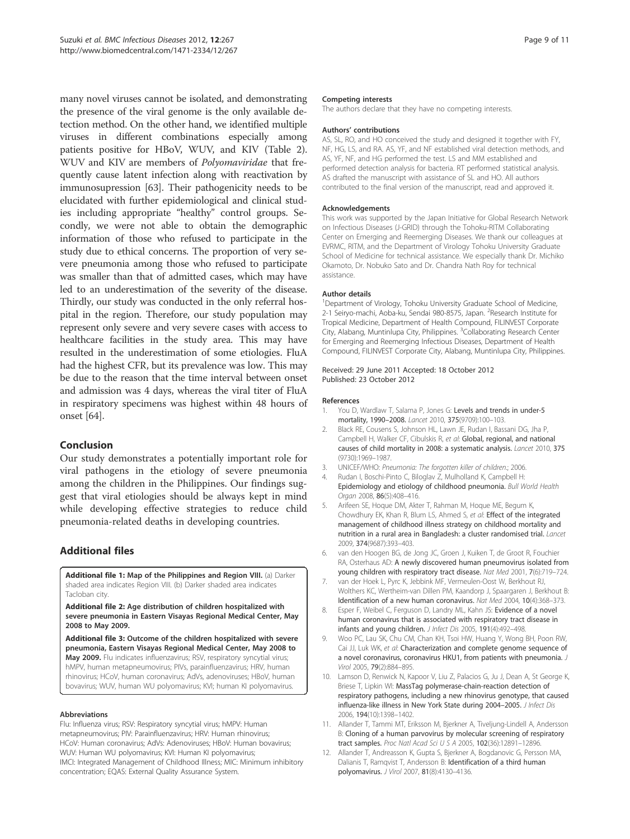many novel viruses cannot be isolated, and demonstrating the presence of the viral genome is the only available detection method. On the other hand, we identified multiple viruses in different combinations especially among patients positive for HBoV, WUV, and KIV (Table 2). WUV and KIV are members of Polyomaviridae that frequently cause latent infection along with reactivation by immunosupression [63]. Their pathogenicity needs to be elucidated with further epidemiological and clinical studies including appropriate "healthy" control groups. Secondly, we were not able to obtain the demographic information of those who refused to participate in the study due to ethical concerns. The proportion of very severe pneumonia among those who refused to participate was smaller than that of admitted cases, which may have led to an underestimation of the severity of the disease. Thirdly, our study was conducted in the only referral hospital in the region. Therefore, our study population may represent only severe and very severe cases with access to healthcare facilities in the study area. This may have resulted in the underestimation of some etiologies. FluA had the highest CFR, but its prevalence was low. This may be due to the reason that the time interval between onset and admission was 4 days, whereas the viral titer of FluA in respiratory specimens was highest within 48 hours of onset [64].

## Conclusion

Our study demonstrates a potentially important role for viral pathogens in the etiology of severe pneumonia among the children in the Philippines. Our findings suggest that viral etiologies should be always kept in mind while developing effective strategies to reduce child pneumonia-related deaths in developing countries.

## Additional files

Additional file 1: Map of the Philippines and Region VIII. (a) Darker shaded area indicates Region VIII. (b) Darker shaded area indicates Tacloban city.

Additional file 2: Age distribution of children hospitalized with severe pneumonia in Eastern Visayas Regional Medical Center, May 2008 to May 2009.

Additional file 3: Outcome of the children hospitalized with severe pneumonia, Eastern Visayas Regional Medical Center, May 2008 to May 2009. Flu indicates influenzavirus; RSV, respiratory syncytial virus; hMPV, human metapneumovirus; PIVs, parainfluenzavirus; HRV, human rhinovirus; HCoV, human coronavirus; AdVs, adenoviruses; HBoV, human bovavirus; WUV, human WU polyomavirus; KVI; human KI polyomavirus.

#### Abbreviations

Flu: Influenza virus; RSV: Respiratory syncytial virus; hMPV: Human metapneumovirus; PIV: Parainfluenzavirus; HRV: Human rhinovirus; HCoV: Human coronavirus; AdVs: Adenoviruses; HBoV: Human bovavirus; WUV: Human WU polyomavirus; KVI: Human KI polyomavirus; IMCI: Integrated Management of Childhood Illness; MIC: Minimum inhibitory concentration; EQAS: External Quality Assurance System.

#### Competing interests

The authors declare that they have no competing interests.

#### Authors' contributions

AS, SL, RO, and HO conceived the study and designed it together with FY, NF, HG, LS, and RA. AS, YF, and NF established viral detection methods, and AS, YF, NF, and HG performed the test. LS and MM established and performed detection analysis for bacteria. RT performed statistical analysis. AS drafted the manuscript with assistance of SL and HO. All authors contributed to the final version of the manuscript, read and approved it.

#### Acknowledgements

This work was supported by the Japan Initiative for Global Research Network on Infectious Diseases (J-GRID) through the Tohoku-RITM Collaborating Center on Emerging and Reemerging Diseases. We thank our colleagues at EVRMC, RITM, and the Department of Virology Tohoku University Graduate School of Medicine for technical assistance. We especially thank Dr. Michiko Okamoto, Dr. Nobuko Sato and Dr. Chandra Nath Roy for technical assistance.

#### Author details

<sup>1</sup>Department of Virology, Tohoku University Graduate School of Medicine 2-1 Seiryo-machi, Aoba-ku, Sendai 980-8575, Japan. <sup>2</sup>Research Institute for Tropical Medicine, Department of Health Compound, FILINVEST Corporate City, Alabang, Muntinlupa City, Philippines. <sup>3</sup>Collaborating Research Center for Emerging and Reemerging Infectious Diseases, Department of Health Compound, FILINVEST Corporate City, Alabang, Muntinlupa City, Philippines.

#### Received: 29 June 2011 Accepted: 18 October 2012 Published: 23 October 2012

#### References

- 1. You D, Wardlaw T, Salama P, Jones G: Levels and trends in under-5 mortality, 1990–2008. Lancet 2010, 375(9709):100–103.
- 2. Black RE, Cousens S, Johnson HL, Lawn JE, Rudan I, Bassani DG, Jha P, Campbell H, Walker CF, Cibulskis R, et al: Global, regional, and national causes of child mortality in 2008: a systematic analysis. Lancet 2010, 375 (9730):1969–1987.
- 3. UNICEF/WHO: Pneumonia: The forgotten killer of children.; 2006.
- 4. Rudan I, Boschi-Pinto C, Biloglav Z, Mulholland K, Campbell H: Epidemiology and etiology of childhood pneumonia. Bull World Health Organ 2008, 86(5):408–416.
- 5. Arifeen SE, Hoque DM, Akter T, Rahman M, Hoque ME, Begum K, Chowdhury EK, Khan R, Blum LS, Ahmed S, et al: Effect of the integrated management of childhood illness strategy on childhood mortality and nutrition in a rural area in Bangladesh: a cluster randomised trial. Lancet 2009, 374(9687):393–403.
- 6. van den Hoogen BG, de Jong JC, Groen J, Kuiken T, de Groot R, Fouchier RA, Osterhaus AD: A newly discovered human pneumovirus isolated from young children with respiratory tract disease. Nat Med 2001, 7(6):719–724.
- 7. van der Hoek L, Pyrc K, Jebbink MF, Vermeulen-Oost W, Berkhout RJ, Wolthers KC, Wertheim-van Dillen PM, Kaandorp J, Spaargaren J, Berkhout B: Identification of a new human coronavirus. Nat Med 2004, 10(4):368–373.
- 8. Esper F, Weibel C, Ferguson D, Landry ML, Kahn JS: Evidence of a novel human coronavirus that is associated with respiratory tract disease in infants and young children. J Infect Dis 2005, 191(4):492-498.
- 9. Woo PC, Lau SK, Chu CM, Chan KH, Tsoi HW, Huang Y, Wong BH, Poon RW, Cai JJ, Luk WK, et al: Characterization and complete genome sequence of a novel coronavirus, coronavirus HKU1, from patients with pneumonia. J Virol 2005, 79(2):884–895.
- 10. Lamson D, Renwick N, Kapoor V, Liu Z, Palacios G, Ju J, Dean A, St George K, Briese T, Lipkin WI: MassTag polymerase-chain-reaction detection of respiratory pathogens, including a new rhinovirus genotype, that caused influenza-like illness in New York State during 2004–2005. J Infect Dis 2006, 194(10):1398–1402.
- 11. Allander T, Tammi MT, Eriksson M, Bjerkner A, Tiveljung-Lindell A, Andersson B: Cloning of a human parvovirus by molecular screening of respiratory tract samples. Proc Natl Acad Sci U S A 2005, 102(36):12891–12896.
- 12. Allander T, Andreasson K, Gupta S, Bjerkner A, Bogdanovic G, Persson MA, Dalianis T, Ramqvist T, Andersson B: Identification of a third human polyomavirus. J Virol 2007, 81(8):4130–4136.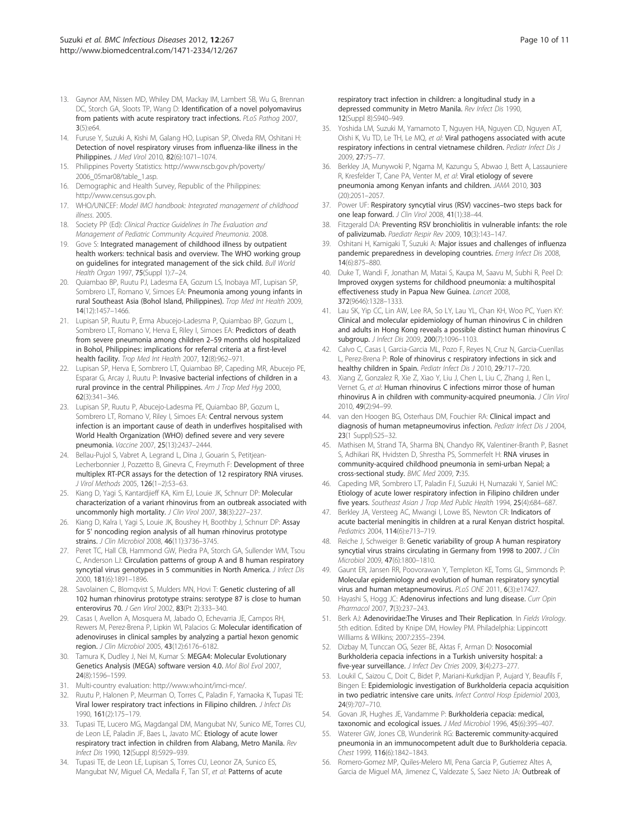- 13. Gaynor AM, Nissen MD, Whiley DM, Mackay IM, Lambert SB, Wu G, Brennan DC, Storch GA, Sloots TP, Wang D: Identification of a novel polyomavirus from patients with acute respiratory tract infections. PLoS Pathog 2007, 3(5):e64.
- 14. Furuse Y, Suzuki A, Kishi M, Galang HO, Lupisan SP, Olveda RM, Oshitani H: Detection of novel respiratory viruses from influenza-like illness in the Philippines. J Med Virol 2010, 82(6):1071–1074.
- 15. Philippines Poverty Statistics: http://www.nscb.gov.ph/poverty/ 2006\_05mar08/table\_1.asp.
- 16. Demographic and Health Survey, Republic of the Philippines: http://www.census.gov.ph.
- 17. WHO/UNICEF: Model IMCI handbook: Integrated management of childhood illness. 2005.
- 18. Society PP (Ed): Clinical Practice Guidelines In The Evaluation and Management of Pediatric Community Acquired Pneumonia. 2008.
- 19. Gove S: Integrated management of childhood illness by outpatient health workers: technical basis and overview. The WHO working group on guidelines for integrated management of the sick child. Bull World Health Organ 1997, 75(Suppl 1):7–24.
- 20. Quiambao BP, Ruutu PJ, Ladesma EA, Gozum LS, Inobaya MT, Lupisan SP, Sombrero LT, Romano V, Simoes EA: Pneumonia among young infants in rural Southeast Asia (Bohol Island, Philippines). Trop Med Int Health 2009, 14(12):1457–1466.
- 21. Lupisan SP, Ruutu P, Erma Abucejo-Ladesma P, Quiambao BP, Gozum L, Sombrero LT, Romano V, Herva E, Riley I, Simoes EA: Predictors of death from severe pneumonia among children 2–59 months old hospitalized in Bohol, Philippines: implications for referral criteria at a first-level health facility. Trop Med Int Health 2007, 12(8):962–971.
- 22. Lupisan SP, Herva E, Sombrero LT, Quiambao BP, Capeding MR, Abucejo PE, Esparar G, Arcay J, Ruutu P: Invasive bacterial infections of children in a rural province in the central Philippines. Am J Trop Med Hyg 2000, 62(3):341–346.
- 23. Lupisan SP, Ruutu P, Abucejo-Ladesma PE, Quiambao BP, Gozum L, Sombrero LT, Romano V, Riley I, Simoes EA: Central nervous system infection is an important cause of death in underfives hospitalised with World Health Organization (WHO) defined severe and very severe pneumonia. Vaccine 2007, 25(13):2437–2444.
- 24. Bellau-Pujol S, Vabret A, Legrand L, Dina J, Gouarin S, Petitjean-Lecherbonnier J, Pozzetto B, Ginevra C, Freymuth F: Development of three multiplex RT-PCR assays for the detection of 12 respiratory RNA viruses. J Virol Methods 2005, 126(1–2):53–63.
- 25. Kiang D, Yagi S, Kantardjieff KA, Kim EJ, Louie JK, Schnurr DP: Molecular characterization of a variant rhinovirus from an outbreak associated with uncommonly high mortality. J Clin Virol 2007, 38(3):227-237.
- 26. Kiang D, Kalra I, Yagi S, Louie JK, Boushey H, Boothby J, Schnurr DP: Assay for 5' noncoding region analysis of all human rhinovirus prototype strains. J Clin Microbiol 2008, 46(11):3736–3745.
- 27. Peret TC, Hall CB, Hammond GW, Piedra PA, Storch GA, Sullender WM, Tsou C, Anderson LJ: Circulation patterns of group A and B human respiratory syncytial virus genotypes in 5 communities in North America. J Infect Dis 2000, 181(6):1891–1896.
- 28. Savolainen C, Blomqvist S, Mulders MN, Hovi T: Genetic clustering of all 102 human rhinovirus prototype strains: serotype 87 is close to human enterovirus 70. J Gen Virol 2002, 83(Pt 2):333–340.
- 29. Casas I, Avellon A, Mosquera M, Jabado O, Echevarria JE, Campos RH, Rewers M, Perez-Brena P, Lipkin WI, Palacios G: Molecular identification of adenoviruses in clinical samples by analyzing a partial hexon genomic region. J Clin Microbiol 2005, 43(12):6176–6182.
- 30. Tamura K, Dudley J, Nei M, Kumar S: MEGA4: Molecular Evolutionary Genetics Analysis (MEGA) software version 4.0. Mol Biol Evol 2007, 24(8):1596–1599.
- 31. Multi-country evaluation: http://www.who.int/imci-mce/.
- 32. Ruutu P, Halonen P, Meurman O, Torres C, Paladin F, Yamaoka K, Tupasi TE: Viral lower respiratory tract infections in Filipino children. J Infect Dis 1990, 161(2):175–179.
- 33. Tupasi TE, Lucero MG, Magdangal DM, Mangubat NV, Sunico ME, Torres CU, de Leon LE, Paladin JF, Baes L, Javato MC: Etiology of acute lower respiratory tract infection in children from Alabang, Metro Manila. Rev Infect Dis 1990, 12(Suppl 8):S929–939.
- 34. Tupasi TE, de Leon LE, Lupisan S, Torres CU, Leonor ZA, Sunico ES, Mangubat NV, Miguel CA, Medalla F, Tan ST, et al: Patterns of acute

respiratory tract infection in children: a longitudinal study in a depressed community in Metro Manila. Rev Infect Dis 1990, 12(Suppl 8):S940–949.

- 35. Yoshida LM, Suzuki M, Yamamoto T, Nguyen HA, Nguyen CD, Nguyen AT, Oishi K, Vu TD, Le TH, Le MQ, et al: Viral pathogens associated with acute respiratory infections in central vietnamese children. Pediatr Infect Dis J 2009, 27:75–77.
- 36. Berkley JA, Munywoki P, Ngama M, Kazungu S, Abwao J, Bett A, Lassauniere R, Kresfelder T, Cane PA, Venter M, et al: Viral etiology of severe pneumonia among Kenyan infants and children. JAMA 2010, 303 (20):2051–2057.
- 37. Power UF: Respiratory syncytial virus (RSV) vaccines–two steps back for one leap forward. J Clin Virol 2008, 41(1):38–44.
- 38. Fitzgerald DA: Preventing RSV bronchiolitis in vulnerable infants: the role of palivizumab. Paediatr Respir Rev 2009, 10(3):143–147.
- 39. Oshitani H, Kamigaki T, Suzuki A: Major issues and challenges of influenza pandemic preparedness in developing countries. Emerg Infect Dis 2008, 14(6):875–880.
- 40. Duke T, Wandi F, Jonathan M, Matai S, Kaupa M, Saavu M, Subhi R, Peel D: Improved oxygen systems for childhood pneumonia: a multihospital effectiveness study in Papua New Guinea. Lancet 2008, 372(9646):1328–1333.
- 41. Lau SK, Yip CC, Lin AW, Lee RA, So LY, Lau YL, Chan KH, Woo PC, Yuen KY: Clinical and molecular epidemiology of human rhinovirus C in children and adults in Hong Kong reveals a possible distinct human rhinovirus C subgroup. J Infect Dis 2009, 200(7):1096–1103.
- 42. Calvo C, Casas I, Garcia-Garcia ML, Pozo F, Reyes N, Cruz N, Garcia-Cuenllas L, Perez-Brena P: Role of rhinovirus c respiratory infections in sick and healthy children in Spain. Pediatr Infect Dis J 2010, 29:717-720.
- 43. Xiang Z, Gonzalez R, Xie Z, Xiao Y, Liu J, Chen L, Liu C, Zhang J, Ren L, Vernet G, et al: Human rhinovirus C infections mirror those of human rhinovirus A in children with community-acquired pneumonia. J Clin Virol 2010, 49(2):94–99.
- 44. van den Hoogen BG, Osterhaus DM, Fouchier RA: Clinical impact and diagnosis of human metapneumovirus infection. Pediatr Infect Dis J 2004, 23(1 Suppl):S25–32.
- 45. Mathisen M, Strand TA, Sharma BN, Chandyo RK, Valentiner-Branth P, Basnet S, Adhikari RK, Hvidsten D, Shrestha PS, Sommerfelt H: RNA viruses in community-acquired childhood pneumonia in semi-urban Nepal; a cross-sectional study. BMC Med 2009, 7:35.
- 46. Capeding MR, Sombrero LT, Paladin FJ, Suzuki H, Numazaki Y, Saniel MC: Etiology of acute lower respiratory infection in Filipino children under five years. Southeast Asian J Trop Med Public Health 1994, 25(4):684-687.
- 47. Berkley JA, Versteeg AC, Mwangi I, Lowe BS, Newton CR: Indicators of acute bacterial meningitis in children at a rural Kenyan district hospital. Pediatrics 2004, 114(6):e713–719.
- 48. Reiche J, Schweiger B: Genetic variability of group A human respiratory syncytial virus strains circulating in Germany from 1998 to 2007. J Clin Microbiol 2009, 47(6):1800–1810.
- Gaunt ER, Jansen RR, Poovorawan Y, Templeton KE, Toms GL, Simmonds P: Molecular epidemiology and evolution of human respiratory syncytial virus and human metapneumovirus. PLoS ONE 2011, 6(3):e17427.
- 50. Hayashi S, Hogg JC: Adenovirus infections and lung disease. Curr Opin Pharmacol 2007, 7(3):237–243.
- 51. Berk AJ: Adenoviridae: The Viruses and Their Replication. In Fields Virology. 5th edition. Edited by Knipe DM, Howley PM. Philadelphia: Lippincott Williams & Wilkins; 2007:2355–2394.
- 52. Dizbay M, Tunccan OG, Sezer BE, Aktas F, Arman D: Nosocomial Burkholderia cepacia infections in a Turkish university hospital: a five-year surveillance. J Infect Dev Ctries 2009, 3(4):273–277.
- 53. Loukil C, Saizou C, Doit C, Bidet P, Mariani-Kurkdjian P, Aujard Y, Beaufils F, Bingen E: Epidemiologic investigation of Burkholderia cepacia acquisition in two pediatric intensive care units. Infect Control Hosp Epidemiol 2003, 24(9):707–710.
- 54. Govan JR, Hughes JE, Vandamme P: Burkholderia cepacia: medical, taxonomic and ecological issues. J Med Microbiol 1996, 45(6):395–407.
- 55. Waterer GW, Jones CB, Wunderink RG: Bacteremic community-acquired pneumonia in an immunocompetent adult due to Burkholderia cepacia. Chest 1999, 116(6):1842–1843.
- 56. Romero-Gomez MP, Quiles-Melero MI, Pena Garcia P, Gutierrez Altes A, Garcia de Miguel MA, Jimenez C, Valdezate S, Saez Nieto JA: Outbreak of